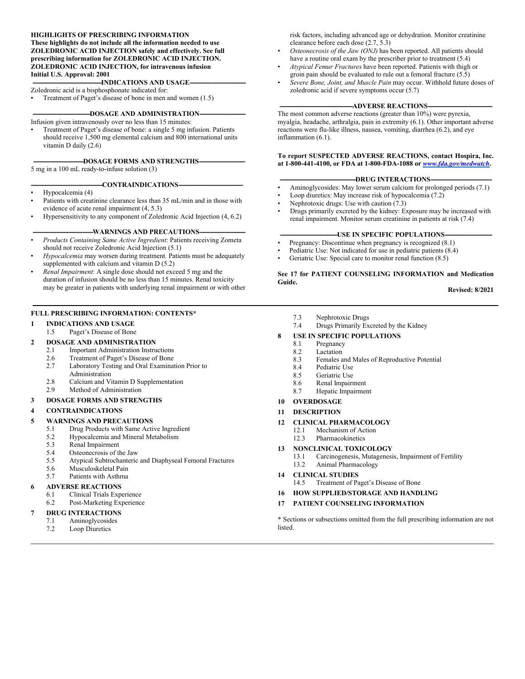#### **HIGHLIGHTS OF PRESCRIBING INFORMATION**

**These highlights do not include all the information needed to use ZOLEDRONIC ACID INJECTION safely and effectively. See full prescribing information for ZOLEDRONIC ACID INJECTION. ZOLEDRONIC ACID INJECTION, for intravenous infusion Initial U.S. Approval: 2001**

**-INDICATIONS AND USAGE--**

Zoledronic acid is a bisphosphonate indicated for:

Treatment of Paget's disease of bone in men and women (1.5)

#### -DOSAGE AND ADMINISTRATION---

Infusion given intravenously over no less than 15 minutes: • Treatment of Paget's disease of bone: a single 5 mg infusion. Patients should receive 1,500 mg elemental calcium and 800 international units vitamin D daily (2.6)

#### **-DOSAGE FORMS AND STRENGTHS--**

5 mg in a 100 mL ready-to-infuse solution (3)

#### -CONTRAINDICATIONS-

- Hypocalcemia (4)
- Patients with creatinine clearance less than 35 mL/min and in those with evidence of acute renal impairment (4, 5.3)
- Hypersensitivity to any component of Zoledronic Acid Injection (4, 6.2)

#### -WARNINGS AND PRECAUTIONS-

- *Products Containing Same Active Ingredient*: Patients receiving Zometa should not receive Zoledronic Acid Injection (5.1)
- *Hypocalcemia* may worsen during treatment. Patients must be adequately supplemented with calcium and vitamin D (5.2)
- *Renal Impairment*: A single dose should not exceed 5 mg and the duration of infusion should be no less than 15 minutes. Renal toxicity may be greater in patients with underlying renal impairment or with other

#### **FULL PRESCRIBING INFORMATION: CONTENTS\***

**1 INDICATIONS AND USAGE**

#### 1.5 Paget's Disease of Bone

#### **2 DOSAGE AND ADMINISTRATION**

- 2.1 Important Administration Instructions
- 2.6 Treatment of Paget's Disease of Bone
- 2.7 Laboratory Testing and Oral Examination Prior to Administration
- 2.8 Calcium and Vitamin D Supplementation
- 2.9 Method of Administration

#### **3 DOSAGE FORMS AND STRENGTHS**

#### **4 CONTRAINDICATIONS**

#### **5 WARNINGS AND PRECAUTIONS**

- 5.1 Drug Products with Same Active Ingredient
- 5.2 Hypocalcemia and Mineral Metabolism<br>5.3 Renal Impairment
- 5.3 Renal Impairment
- 5.4 Osteonecrosis of the Jaw
- 5.5 Atypical Subtrochanteric and Diaphyseal Femoral Fractures
- 5.6 Musculoskeletal Pain<br>5.7 Patients with Asthma
- Patients with Asthma

#### **6 ADVERSE REACTIONS**

- 6.1 Clinical Trials Experience
- 6.2 Post-Marketing Experience

#### **7 DRUG INTERACTIONS**

- 7.1 Aminoglycosides
- 7.2 Loop Diuretics

risk factors, including advanced age or dehydration. Monitor creatinine clearance before each dose (2.7, 5.3)

- *Osteonecrosis of the Jaw (ONJ)* has been reported. All patients should have a routine oral exam by the prescriber prior to treatment (5.4)
- *Atypical Femur Fractures* have been reported. Patients with thigh or groin pain should be evaluated to rule out a femoral fracture (5.5)
- *Severe Bone, Joint, and Muscle Pain* may occur. Withhold future doses of zoledronic acid if severe symptoms occur (5.7)

#### -ADVERSE REACTIONS-

The most common adverse reactions (greater than 10%) were pyrexia, myalgia, headache, arthralgia, pain in extremity (6.1). Other important adverse reactions were flu-like illness, nausea, vomiting, diarrhea (6.2), and eye inflammation (6.1).

#### **To report SUSPECTED ADVERSE REACTIONS, contact Hospira, Inc. at 1-800-441-4100, or FDA at 1-800-FDA-1088 or** *[www.fda.gov/medwatch](http://www.fda.gov/medwatch)***.**

#### -DRUG INTERACTIONS-

- Aminoglycosides: May lower serum calcium for prolonged periods (7.1)
- Loop diuretics: May increase risk of hypocalcemia (7.2)
- Nephrotoxic drugs: Use with caution (7.3)
- Drugs primarily excreted by the kidney: Exposure may be increased with renal impairment. Monitor serum creatinine in patients at risk (7.4)

#### **-USE IN SPECIFIC POPULATIONS-**

- Pregnancy: Discontinue when pregnancy is recognized (8.1)
- Pediatric Use: Not indicated for use in pediatric patients (8.4)
- Geriatric Use: Special care to monitor renal function  $(8.5)$

#### **See 17 for PATIENT COUNSELING INFORMATION and Medication Guide.**

**Revised: 8/2021**

- 7.3 Nephrotoxic Drugs
- 7.4 Drugs Primarily Excreted by the Kidney
- **8 USE IN SPECIFIC POPULATIONS**<br>8.1 **Pregnancy** 
	- Pregnancy
	- 8.2 Lactation
	- 8.3 Females and Males of Reproductive Potential
	- 8.4 Pediatric Use
	- 8.5 Geriatric Use
	- 8.6 Renal Impairment
	- 8.7 Hepatic Impairment
- **10 OVERDOSAGE**

#### **11 DESCRIPTION**

#### **12 CLINICAL PHARMACOLOGY**

- 12.1 Mechanism of Action
- 12.3 Pharmacokinetics
- **13 NONCLINICAL TOXICOLOGY** 
	- 13.1 Carcinogenesis, Mutagenesis, Impairment of Fertility 13.2 Animal Pharmacology
- **14 CLINICAL STUDIES**
	- 14.5 Treatment of Paget's Disease of Bone
- **16 HOW SUPPLIED/STORAGE AND HANDLING**
- **17 PATIENT COUNSELING INFORMATION**

**\*** Sections or subsections omitted from the full prescribing information are not listed.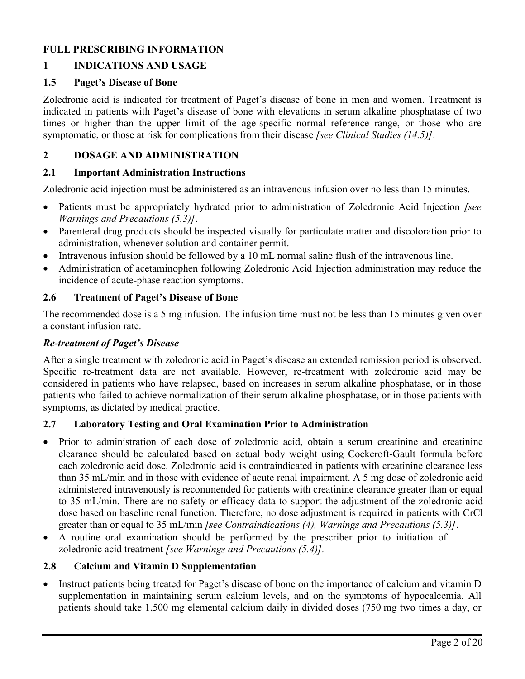# **FULL PRESCRIBING INFORMATION**

# **1 INDICATIONS AND USAGE**

#### **1.5 Paget's Disease of Bone**

Zoledronic acid is indicated for treatment of Paget's disease of bone in men and women. Treatment is indicated in patients with Paget's disease of bone with elevations in serum alkaline phosphatase of two times or higher than the upper limit of the age-specific normal reference range, or those who are symptomatic, or those at risk for complications from their disease *[see Clinical Studies (14.5)]*.

# **2 DOSAGE AND ADMINISTRATION**

## **2.1 Important Administration Instructions**

Zoledronic acid injection must be administered as an intravenous infusion over no less than 15 minutes.

- Patients must be appropriately hydrated prior to administration of Zoledronic Acid Injection *[see Warnings and Precautions (5.3)]*.
- Parenteral drug products should be inspected visually for particulate matter and discoloration prior to administration, whenever solution and container permit.
- Intravenous infusion should be followed by a 10 mL normal saline flush of the intravenous line.
- Administration of acetaminophen following Zoledronic Acid Injection administration may reduce the incidence of acute-phase reaction symptoms.

## **2.6 Treatment of Paget's Disease of Bone**

The recommended dose is a 5 mg infusion. The infusion time must not be less than 15 minutes given over a constant infusion rate.

## *Re-treatment of Paget's Disease*

After a single treatment with zoledronic acid in Paget's disease an extended remission period is observed. Specific re-treatment data are not available. However, re-treatment with zoledronic acid may be considered in patients who have relapsed, based on increases in serum alkaline phosphatase, or in those patients who failed to achieve normalization of their serum alkaline phosphatase, or in those patients with symptoms, as dictated by medical practice.

## **2.7 Laboratory Testing and Oral Examination Prior to Administration**

- Prior to administration of each dose of zoledronic acid, obtain a serum creatinine and creatinine clearance should be calculated based on actual body weight using Cockcroft-Gault formula before each zoledronic acid dose. Zoledronic acid is contraindicated in patients with creatinine clearance less than 35 mL/min and in those with evidence of acute renal impairment. A 5 mg dose of zoledronic acid administered intravenously is recommended for patients with creatinine clearance greater than or equal to 35 mL/min. There are no safety or efficacy data to support the adjustment of the zoledronic acid dose based on baseline renal function. Therefore, no dose adjustment is required in patients with CrCl greater than or equal to 35 mL/min *[see Contraindications (4), Warnings and Precautions (5.3)]*.
- A routine oral examination should be performed by the prescriber prior to initiation of zoledronic acid treatment *[see Warnings and Precautions (5.4)].*

## **2.8 Calcium and Vitamin D Supplementation**

 Instruct patients being treated for Paget's disease of bone on the importance of calcium and vitamin D supplementation in maintaining serum calcium levels, and on the symptoms of hypocalcemia. All patients should take 1,500 mg elemental calcium daily in divided doses (750 mg two times a day, or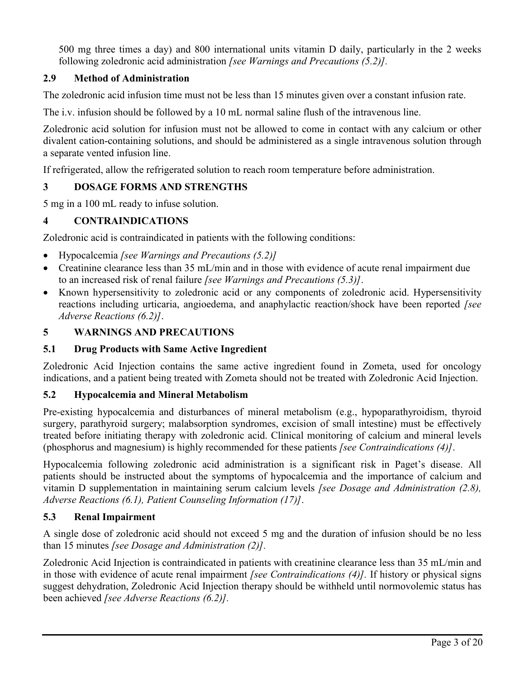500 mg three times a day) and 800 international units vitamin D daily, particularly in the 2 weeks following zoledronic acid administration *[see Warnings and Precautions (5.2)].*

# **2.9 Method of Administration**

The zoledronic acid infusion time must not be less than 15 minutes given over a constant infusion rate.

The i.v. infusion should be followed by a 10 mL normal saline flush of the intravenous line.

Zoledronic acid solution for infusion must not be allowed to come in contact with any calcium or other divalent cation-containing solutions, and should be administered as a single intravenous solution through a separate vented infusion line.

If refrigerated, allow the refrigerated solution to reach room temperature before administration.

# **3 DOSAGE FORMS AND STRENGTHS**

5 mg in a 100 mL ready to infuse solution.

# **4 CONTRAINDICATIONS**

Zoledronic acid is contraindicated in patients with the following conditions:

- Hypocalcemia *[see Warnings and Precautions (5.2)]*
- Creatinine clearance less than 35 mL/min and in those with evidence of acute renal impairment due to an increased risk of renal failure *[see Warnings and Precautions (5.3)]*.
- Known hypersensitivity to zoledronic acid or any components of zoledronic acid. Hypersensitivity reactions including urticaria, angioedema, and anaphylactic reaction/shock have been reported *[see Adverse Reactions (6.2)]*.

# **5 WARNINGS AND PRECAUTIONS**

# **5.1 Drug Products with Same Active Ingredient**

Zoledronic Acid Injection contains the same active ingredient found in Zometa, used for oncology indications, and a patient being treated with Zometa should not be treated with Zoledronic Acid Injection.

# **5.2 Hypocalcemia and Mineral Metabolism**

Pre-existing hypocalcemia and disturbances of mineral metabolism (e.g., hypoparathyroidism, thyroid surgery, parathyroid surgery; malabsorption syndromes, excision of small intestine) must be effectively treated before initiating therapy with zoledronic acid. Clinical monitoring of calcium and mineral levels (phosphorus and magnesium) is highly recommended for these patients *[see Contraindications (4)]*.

Hypocalcemia following zoledronic acid administration is a significant risk in Paget's disease. All patients should be instructed about the symptoms of hypocalcemia and the importance of calcium and vitamin D supplementation in maintaining serum calcium levels *[see Dosage and Administration (2.8), Adverse Reactions (6.1), Patient Counseling Information (17)]*.

# **5.3 Renal Impairment**

A single dose of zoledronic acid should not exceed 5 mg and the duration of infusion should be no less than 15 minutes *[see Dosage and Administration (2)].*

Zoledronic Acid Injection is contraindicated in patients with creatinine clearance less than 35 mL/min and in those with evidence of acute renal impairment *[see Contraindications (4)].* If history or physical signs suggest dehydration, Zoledronic Acid Injection therapy should be withheld until normovolemic status has been achieved *[see Adverse Reactions (6.2)].*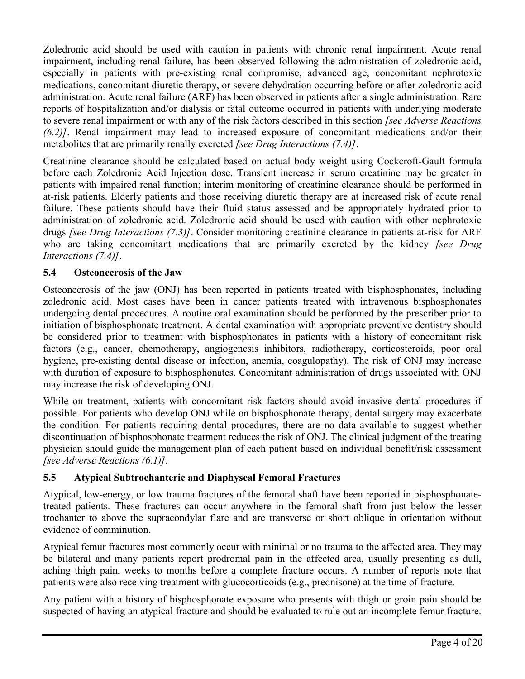Zoledronic acid should be used with caution in patients with chronic renal impairment. Acute renal impairment, including renal failure, has been observed following the administration of zoledronic acid, especially in patients with pre-existing renal compromise, advanced age, concomitant nephrotoxic medications, concomitant diuretic therapy, or severe dehydration occurring before or after zoledronic acid administration. Acute renal failure (ARF) has been observed in patients after a single administration. Rare reports of hospitalization and/or dialysis or fatal outcome occurred in patients with underlying moderate to severe renal impairment or with any of the risk factors described in this section *[see Adverse Reactions (6.2)]*. Renal impairment may lead to increased exposure of concomitant medications and/or their metabolites that are primarily renally excreted *[see Drug Interactions (7.4)]*.

Creatinine clearance should be calculated based on actual body weight using Cockcroft-Gault formula before each Zoledronic Acid Injection dose. Transient increase in serum creatinine may be greater in patients with impaired renal function; interim monitoring of creatinine clearance should be performed in at-risk patients. Elderly patients and those receiving diuretic therapy are at increased risk of acute renal failure. These patients should have their fluid status assessed and be appropriately hydrated prior to administration of zoledronic acid. Zoledronic acid should be used with caution with other nephrotoxic drugs *[see Drug Interactions (7.3)]*. Consider monitoring creatinine clearance in patients at-risk for ARF who are taking concomitant medications that are primarily excreted by the kidney *[see Drug Interactions (7.4)]*.

# **5.4 Osteonecrosis of the Jaw**

Osteonecrosis of the jaw (ONJ) has been reported in patients treated with bisphosphonates, including zoledronic acid. Most cases have been in cancer patients treated with intravenous bisphosphonates undergoing dental procedures. A routine oral examination should be performed by the prescriber prior to initiation of bisphosphonate treatment. A dental examination with appropriate preventive dentistry should be considered prior to treatment with bisphosphonates in patients with a history of concomitant risk factors (e.g., cancer, chemotherapy, angiogenesis inhibitors, radiotherapy, corticosteroids, poor oral hygiene, pre-existing dental disease or infection, anemia, coagulopathy). The risk of ONJ may increase with duration of exposure to bisphosphonates. Concomitant administration of drugs associated with ONJ may increase the risk of developing ONJ.

While on treatment, patients with concomitant risk factors should avoid invasive dental procedures if possible. For patients who develop ONJ while on bisphosphonate therapy, dental surgery may exacerbate the condition. For patients requiring dental procedures, there are no data available to suggest whether discontinuation of bisphosphonate treatment reduces the risk of ONJ. The clinical judgment of the treating physician should guide the management plan of each patient based on individual benefit/risk assessment *[see Adverse Reactions (6.1)]*.

## **5.5 Atypical Subtrochanteric and Diaphyseal Femoral Fractures**

Atypical, low-energy, or low trauma fractures of the femoral shaft have been reported in bisphosphonatetreated patients. These fractures can occur anywhere in the femoral shaft from just below the lesser trochanter to above the supracondylar flare and are transverse or short oblique in orientation without evidence of comminution.

Atypical femur fractures most commonly occur with minimal or no trauma to the affected area. They may be bilateral and many patients report prodromal pain in the affected area, usually presenting as dull, aching thigh pain, weeks to months before a complete fracture occurs. A number of reports note that patients were also receiving treatment with glucocorticoids (e.g., prednisone) at the time of fracture.

Any patient with a history of bisphosphonate exposure who presents with thigh or groin pain should be suspected of having an atypical fracture and should be evaluated to rule out an incomplete femur fracture.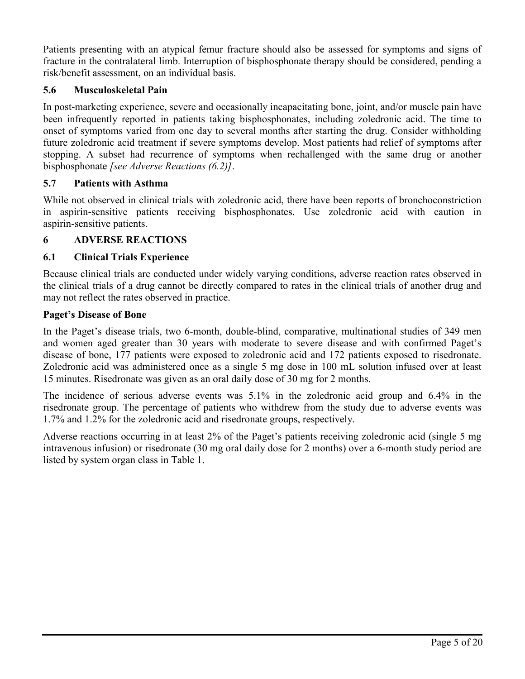Patients presenting with an atypical femur fracture should also be assessed for symptoms and signs of fracture in the contralateral limb. Interruption of bisphosphonate therapy should be considered, pending a risk/benefit assessment, on an individual basis.

# **5.6 Musculoskeletal Pain**

In post-marketing experience, severe and occasionally incapacitating bone, joint, and/or muscle pain have been infrequently reported in patients taking bisphosphonates, including zoledronic acid. The time to onset of symptoms varied from one day to several months after starting the drug. Consider withholding future zoledronic acid treatment if severe symptoms develop. Most patients had relief of symptoms after stopping. A subset had recurrence of symptoms when rechallenged with the same drug or another bisphosphonate *[see Adverse Reactions (6.2)]*.

# **5.7 Patients with Asthma**

While not observed in clinical trials with zoledronic acid, there have been reports of bronchoconstriction in aspirin-sensitive patients receiving bisphosphonates. Use zoledronic acid with caution in aspirin-sensitive patients.

# **6 ADVERSE REACTIONS**

# **6.1 Clinical Trials Experience**

Because clinical trials are conducted under widely varying conditions, adverse reaction rates observed in the clinical trials of a drug cannot be directly compared to rates in the clinical trials of another drug and may not reflect the rates observed in practice.

## **Paget's Disease of Bone**

In the Paget's disease trials, two 6-month, double-blind, comparative, multinational studies of 349 men and women aged greater than 30 years with moderate to severe disease and with confirmed Paget's disease of bone, 177 patients were exposed to zoledronic acid and 172 patients exposed to risedronate. Zoledronic acid was administered once as a single 5 mg dose in 100 mL solution infused over at least 15 minutes. Risedronate was given as an oral daily dose of 30 mg for 2 months.

The incidence of serious adverse events was 5.1% in the zoledronic acid group and 6.4% in the risedronate group. The percentage of patients who withdrew from the study due to adverse events was 1.7% and 1.2% for the zoledronic acid and risedronate groups, respectively.

Adverse reactions occurring in at least 2% of the Paget's patients receiving zoledronic acid (single 5 mg intravenous infusion) or risedronate (30 mg oral daily dose for 2 months) over a 6-month study period are listed by system organ class in Table 1.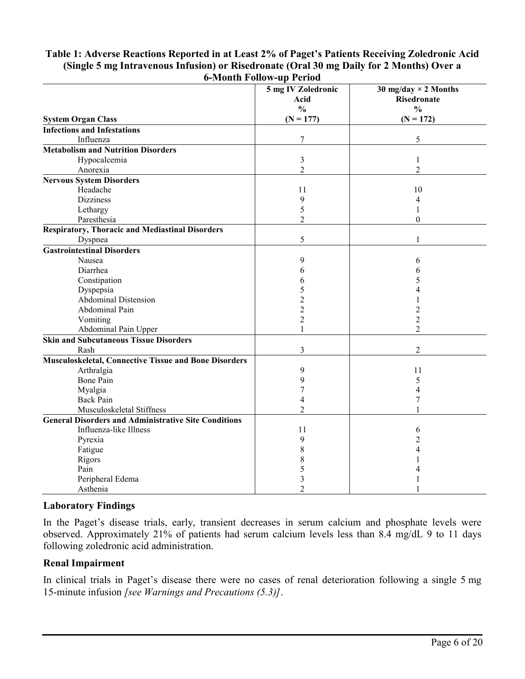|                                                              | o-ivionth rollow-up reriod |                             |
|--------------------------------------------------------------|----------------------------|-----------------------------|
|                                                              | 5 mg IV Zoledronic         | 30 mg/day $\times$ 2 Months |
|                                                              | Acid                       | Risedronate                 |
|                                                              | $\frac{0}{0}$              | $\frac{0}{0}$               |
| <b>System Organ Class</b>                                    | $(N = 177)$                | $(N = 172)$                 |
| <b>Infections and Infestations</b>                           |                            |                             |
| Influenza                                                    | 7                          | 5                           |
| <b>Metabolism and Nutrition Disorders</b>                    |                            |                             |
| Hypocalcemia                                                 | 3                          | $\mathbf{1}$                |
| Anorexia                                                     | $\overline{2}$             | $\overline{2}$              |
| <b>Nervous System Disorders</b>                              |                            |                             |
| Headache                                                     | 11                         | 10                          |
| <b>Dizziness</b>                                             | 9                          | 4                           |
| Lethargy                                                     | 5                          | 1                           |
| Paresthesia                                                  | $\overline{2}$             | $\theta$                    |
| <b>Respiratory, Thoracic and Mediastinal Disorders</b>       |                            |                             |
| Dyspnea                                                      | 5                          | 1                           |
| <b>Gastrointestinal Disorders</b>                            |                            |                             |
| Nausea                                                       | 9                          | 6                           |
| Diarrhea                                                     | 6                          | 6                           |
| Constipation                                                 | 6                          | 5                           |
| Dyspepsia                                                    | 5                          | 4                           |
| <b>Abdominal Distension</b>                                  | $\overline{c}$             |                             |
| Abdominal Pain                                               | $\overline{2}$             | 2                           |
| Vomiting                                                     | $\overline{c}$             | $\overline{c}$              |
| Abdominal Pain Upper                                         | $\mathbf{1}$               | $\overline{2}$              |
| <b>Skin and Subcutaneous Tissue Disorders</b>                |                            |                             |
| Rash                                                         | 3                          | $\overline{2}$              |
| <b>Musculoskeletal, Connective Tissue and Bone Disorders</b> |                            |                             |
| Arthralgia                                                   | 9                          | 11                          |
| <b>Bone Pain</b>                                             | 9                          | 5                           |
| Myalgia                                                      | 7                          | 4                           |
| <b>Back Pain</b>                                             | 4                          | 7                           |
| Musculoskeletal Stiffness                                    | $\overline{2}$             |                             |
| <b>General Disorders and Administrative Site Conditions</b>  |                            |                             |
| Influenza-like Illness                                       | 11                         | 6                           |
| Pyrexia                                                      | 9                          | $\overline{c}$              |
| Fatigue                                                      | 8                          | 4                           |
| Rigors                                                       | 8                          |                             |
| Pain                                                         | 5                          |                             |
| Peripheral Edema                                             | 3                          |                             |
| Asthenia                                                     | $\overline{2}$             |                             |
|                                                              |                            |                             |

#### **Table 1: Adverse Reactions Reported in at Least 2% of Paget's Patients Receiving Zoledronic Acid (Single 5 mg Intravenous Infusion) or Risedronate (Oral 30 mg Daily for 2 Months) Over a 6-Month Follow-up Period**

## **Laboratory Findings**

In the Paget's disease trials, early, transient decreases in serum calcium and phosphate levels were observed. Approximately 21% of patients had serum calcium levels less than 8.4 mg/dL 9 to 11 days following zoledronic acid administration.

## **Renal Impairment**

In clinical trials in Paget's disease there were no cases of renal deterioration following a single 5 mg 15-minute infusion *[see Warnings and Precautions (5.3)]*.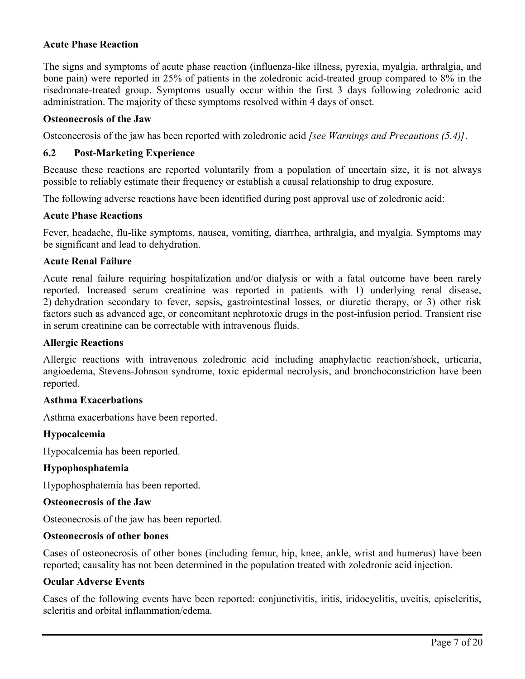### **Acute Phase Reaction**

The signs and symptoms of acute phase reaction (influenza-like illness, pyrexia, myalgia, arthralgia, and bone pain) were reported in 25% of patients in the zoledronic acid-treated group compared to 8% in the risedronate-treated group. Symptoms usually occur within the first 3 days following zoledronic acid administration. The majority of these symptoms resolved within 4 days of onset.

#### **Osteonecrosis of the Jaw**

Osteonecrosis of the jaw has been reported with zoledronic acid *[see Warnings and Precautions (5.4)]*.

#### **6.2 Post-Marketing Experience**

Because these reactions are reported voluntarily from a population of uncertain size, it is not always possible to reliably estimate their frequency or establish a causal relationship to drug exposure.

The following adverse reactions have been identified during post approval use of zoledronic acid:

#### **Acute Phase Reactions**

Fever, headache, flu-like symptoms, nausea, vomiting, diarrhea, arthralgia, and myalgia. Symptoms may be significant and lead to dehydration.

#### **Acute Renal Failure**

Acute renal failure requiring hospitalization and/or dialysis or with a fatal outcome have been rarely reported. Increased serum creatinine was reported in patients with 1) underlying renal disease, 2) dehydration secondary to fever, sepsis, gastrointestinal losses, or diuretic therapy, or 3) other risk factors such as advanced age, or concomitant nephrotoxic drugs in the post-infusion period. Transient rise in serum creatinine can be correctable with intravenous fluids.

#### **Allergic Reactions**

Allergic reactions with intravenous zoledronic acid including anaphylactic reaction/shock, urticaria, angioedema, Stevens-Johnson syndrome, toxic epidermal necrolysis, and bronchoconstriction have been reported.

#### **Asthma Exacerbations**

Asthma exacerbations have been reported.

#### **Hypocalcemia**

Hypocalcemia has been reported.

#### **Hypophosphatemia**

Hypophosphatemia has been reported.

#### **Osteonecrosis of the Jaw**

Osteonecrosis of the jaw has been reported.

#### **Osteonecrosis of other bones**

Cases of osteonecrosis of other bones (including femur, hip, knee, ankle, wrist and humerus) have been reported; causality has not been determined in the population treated with zoledronic acid injection.

#### **Ocular Adverse Events**

Cases of the following events have been reported: conjunctivitis, iritis, iridocyclitis, uveitis, episcleritis, scleritis and orbital inflammation/edema.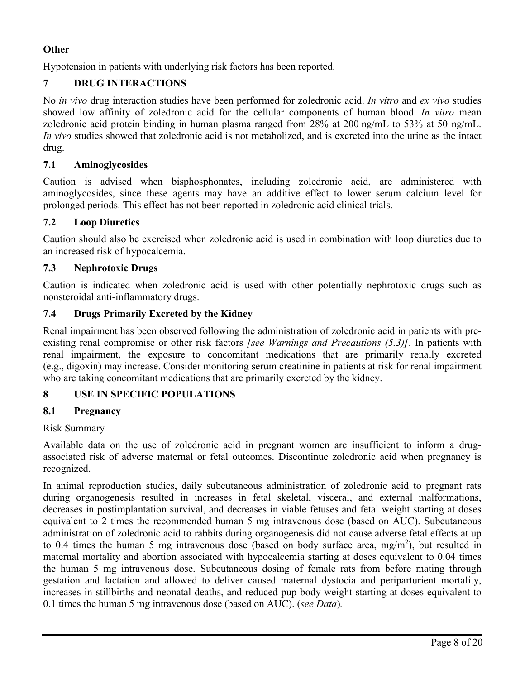# **Other**

Hypotension in patients with underlying risk factors has been reported.

# **7 DRUG INTERACTIONS**

No *in vivo* drug interaction studies have been performed for zoledronic acid. *In vitro* and *ex vivo* studies showed low affinity of zoledronic acid for the cellular components of human blood. *In vitro* mean zoledronic acid protein binding in human plasma ranged from 28% at 200 ng/mL to 53% at 50 ng/mL. *In vivo* studies showed that zoledronic acid is not metabolized, and is excreted into the urine as the intact drug.

# **7.1 Aminoglycosides**

Caution is advised when bisphosphonates, including zoledronic acid, are administered with aminoglycosides, since these agents may have an additive effect to lower serum calcium level for prolonged periods. This effect has not been reported in zoledronic acid clinical trials.

# **7.2 Loop Diuretics**

Caution should also be exercised when zoledronic acid is used in combination with loop diuretics due to an increased risk of hypocalcemia.

# **7.3 Nephrotoxic Drugs**

Caution is indicated when zoledronic acid is used with other potentially nephrotoxic drugs such as nonsteroidal anti-inflammatory drugs.

# **7.4 Drugs Primarily Excreted by the Kidney**

Renal impairment has been observed following the administration of zoledronic acid in patients with preexisting renal compromise or other risk factors *[see Warnings and Precautions (5.3)]*. In patients with renal impairment, the exposure to concomitant medications that are primarily renally excreted (e.g., digoxin) may increase. Consider monitoring serum creatinine in patients at risk for renal impairment who are taking concomitant medications that are primarily excreted by the kidney.

# **8 USE IN SPECIFIC POPULATIONS**

# **8.1 Pregnancy**

## Risk Summary

Available data on the use of zoledronic acid in pregnant women are insufficient to inform a drugassociated risk of adverse maternal or fetal outcomes. Discontinue zoledronic acid when pregnancy is recognized.

In animal reproduction studies, daily subcutaneous administration of zoledronic acid to pregnant rats during organogenesis resulted in increases in fetal skeletal, visceral, and external malformations, decreases in postimplantation survival, and decreases in viable fetuses and fetal weight starting at doses equivalent to 2 times the recommended human 5 mg intravenous dose (based on AUC). Subcutaneous administration of zoledronic acid to rabbits during organogenesis did not cause adverse fetal effects at up to 0.4 times the human 5 mg intravenous dose (based on body surface area,  $mg/m<sup>2</sup>$ ), but resulted in maternal mortality and abortion associated with hypocalcemia starting at doses equivalent to 0.04 times the human 5 mg intravenous dose. Subcutaneous dosing of female rats from before mating through gestation and lactation and allowed to deliver caused maternal dystocia and periparturient mortality, increases in stillbirths and neonatal deaths, and reduced pup body weight starting at doses equivalent to 0.1 times the human 5 mg intravenous dose (based on AUC). (*see Data*)*.*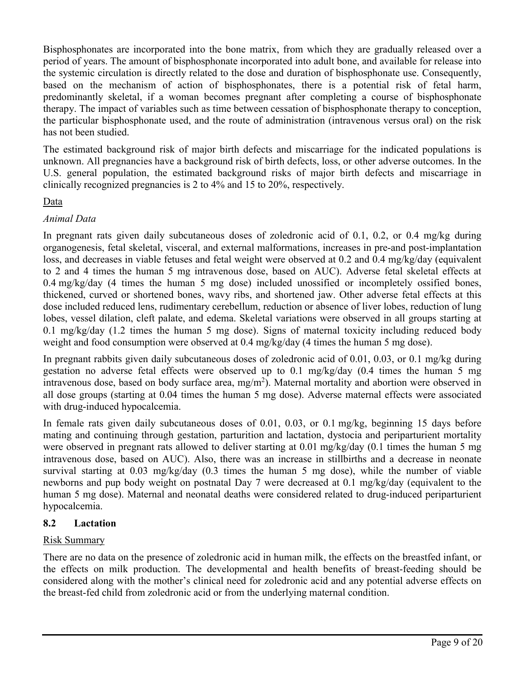Bisphosphonates are incorporated into the bone matrix, from which they are gradually released over a period of years. The amount of bisphosphonate incorporated into adult bone, and available for release into the systemic circulation is directly related to the dose and duration of bisphosphonate use. Consequently, based on the mechanism of action of bisphosphonates, there is a potential risk of fetal harm, predominantly skeletal, if a woman becomes pregnant after completing a course of bisphosphonate therapy. The impact of variables such as time between cessation of bisphosphonate therapy to conception, the particular bisphosphonate used, and the route of administration (intravenous versus oral) on the risk has not been studied.

The estimated background risk of major birth defects and miscarriage for the indicated populations is unknown. All pregnancies have a background risk of birth defects, loss, or other adverse outcomes. In the U.S. general population, the estimated background risks of major birth defects and miscarriage in clinically recognized pregnancies is 2 to 4% and 15 to 20%, respectively.

# **Data**

# *Animal Data*

In pregnant rats given daily subcutaneous doses of zoledronic acid of 0.1, 0.2, or 0.4 mg/kg during organogenesis, fetal skeletal, visceral, and external malformations, increases in pre-and post-implantation loss, and decreases in viable fetuses and fetal weight were observed at 0.2 and 0.4 mg/kg/day (equivalent to 2 and 4 times the human 5 mg intravenous dose, based on AUC). Adverse fetal skeletal effects at 0.4 mg/kg/day (4 times the human 5 mg dose) included unossified or incompletely ossified bones, thickened, curved or shortened bones, wavy ribs, and shortened jaw. Other adverse fetal effects at this dose included reduced lens, rudimentary cerebellum, reduction or absence of liver lobes, reduction of lung lobes, vessel dilation, cleft palate, and edema. Skeletal variations were observed in all groups starting at 0.1 mg/kg/day (1.2 times the human 5 mg dose). Signs of maternal toxicity including reduced body weight and food consumption were observed at 0.4 mg/kg/day (4 times the human 5 mg dose).

In pregnant rabbits given daily subcutaneous doses of zoledronic acid of 0.01, 0.03, or 0.1 mg/kg during gestation no adverse fetal effects were observed up to 0.1 mg/kg/day (0.4 times the human 5 mg intravenous dose, based on body surface area,  $mg/m<sup>2</sup>$ ). Maternal mortality and abortion were observed in all dose groups (starting at 0.04 times the human 5 mg dose). Adverse maternal effects were associated with drug-induced hypocalcemia.

In female rats given daily subcutaneous doses of 0.01, 0.03, or 0.1 mg/kg, beginning 15 days before mating and continuing through gestation, parturition and lactation, dystocia and periparturient mortality were observed in pregnant rats allowed to deliver starting at 0.01 mg/kg/day (0.1 times the human 5 mg intravenous dose, based on AUC). Also, there was an increase in stillbirths and a decrease in neonate survival starting at 0.03 mg/kg/day (0.3 times the human 5 mg dose), while the number of viable newborns and pup body weight on postnatal Day 7 were decreased at 0.1 mg/kg/day (equivalent to the human 5 mg dose). Maternal and neonatal deaths were considered related to drug-induced periparturient hypocalcemia.

## **8.2 Lactation**

## Risk Summary

There are no data on the presence of zoledronic acid in human milk, the effects on the breastfed infant, or the effects on milk production. The developmental and health benefits of breast-feeding should be considered along with the mother's clinical need for zoledronic acid and any potential adverse effects on the breast-fed child from zoledronic acid or from the underlying maternal condition.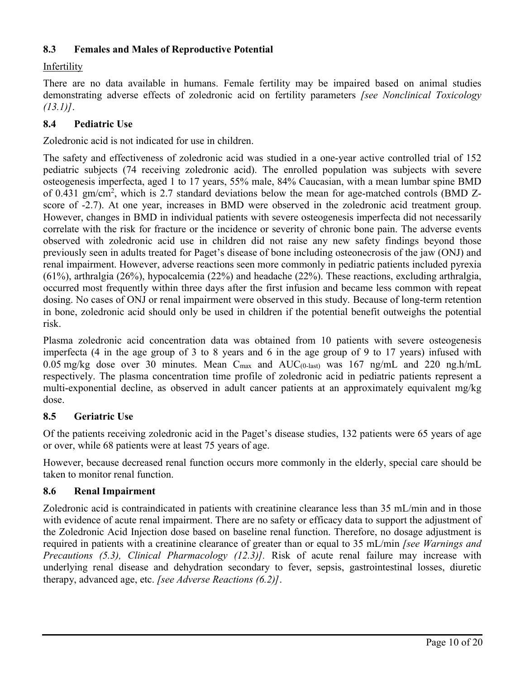# **8.3 Females and Males of Reproductive Potential**

# Infertility

There are no data available in humans. Female fertility may be impaired based on animal studies demonstrating adverse effects of zoledronic acid on fertility parameters *[see Nonclinical Toxicology (13.1)]*.

# **8.4 Pediatric Use**

Zoledronic acid is not indicated for use in children.

The safety and effectiveness of zoledronic acid was studied in a one-year active controlled trial of 152 pediatric subjects (74 receiving zoledronic acid). The enrolled population was subjects with severe osteogenesis imperfecta, aged 1 to 17 years, 55% male, 84% Caucasian, with a mean lumbar spine BMD of 0.431 gm/cm<sup>2</sup>, which is 2.7 standard deviations below the mean for age-matched controls (BMD Zscore of -2.7). At one year, increases in BMD were observed in the zoledronic acid treatment group. However, changes in BMD in individual patients with severe osteogenesis imperfecta did not necessarily correlate with the risk for fracture or the incidence or severity of chronic bone pain. The adverse events observed with zoledronic acid use in children did not raise any new safety findings beyond those previously seen in adults treated for Paget's disease of bone including osteonecrosis of the jaw (ONJ) and renal impairment. However, adverse reactions seen more commonly in pediatric patients included pyrexia (61%), arthralgia (26%), hypocalcemia (22%) and headache (22%). These reactions, excluding arthralgia, occurred most frequently within three days after the first infusion and became less common with repeat dosing. No cases of ONJ or renal impairment were observed in this study. Because of long-term retention in bone, zoledronic acid should only be used in children if the potential benefit outweighs the potential risk.

Plasma zoledronic acid concentration data was obtained from 10 patients with severe osteogenesis imperfecta (4 in the age group of 3 to 8 years and 6 in the age group of 9 to 17 years) infused with 0.05 mg/kg dose over 30 minutes. Mean  $C_{\text{max}}$  and  $AUC_{(0\text{-last})}$  was 167 ng/mL and 220 ng.h/mL respectively. The plasma concentration time profile of zoledronic acid in pediatric patients represent a multi-exponential decline, as observed in adult cancer patients at an approximately equivalent mg/kg dose.

## **8.5 Geriatric Use**

Of the patients receiving zoledronic acid in the Paget's disease studies, 132 patients were 65 years of age or over, while 68 patients were at least 75 years of age.

However, because decreased renal function occurs more commonly in the elderly, special care should be taken to monitor renal function.

## **8.6 Renal Impairment**

Zoledronic acid is contraindicated in patients with creatinine clearance less than 35 mL/min and in those with evidence of acute renal impairment. There are no safety or efficacy data to support the adjustment of the Zoledronic Acid Injection dose based on baseline renal function. Therefore, no dosage adjustment is required in patients with a creatinine clearance of greater than or equal to 35 mL/min *[see Warnings and Precautions (5.3), Clinical Pharmacology (12.3)].* Risk of acute renal failure may increase with underlying renal disease and dehydration secondary to fever, sepsis, gastrointestinal losses, diuretic therapy, advanced age, etc. *[see Adverse Reactions (6.2)]*.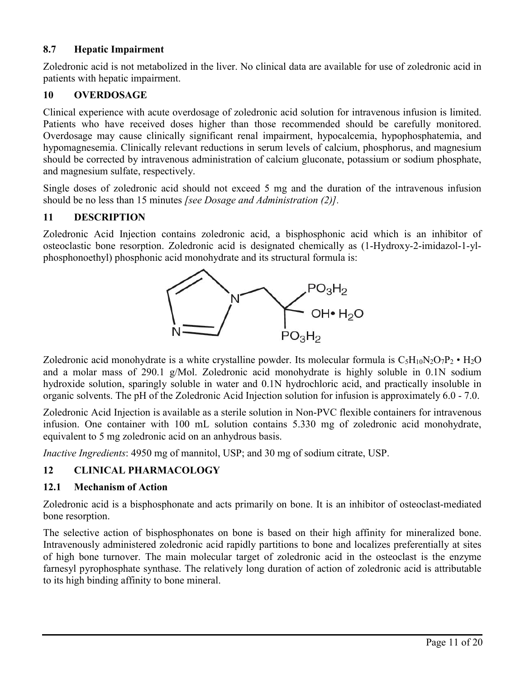# **8.7 Hepatic Impairment**

Zoledronic acid is not metabolized in the liver. No clinical data are available for use of zoledronic acid in patients with hepatic impairment.

# **10 OVERDOSAGE**

Clinical experience with acute overdosage of zoledronic acid solution for intravenous infusion is limited. Patients who have received doses higher than those recommended should be carefully monitored. Overdosage may cause clinically significant renal impairment, hypocalcemia, hypophosphatemia, and hypomagnesemia. Clinically relevant reductions in serum levels of calcium, phosphorus, and magnesium should be corrected by intravenous administration of calcium gluconate, potassium or sodium phosphate, and magnesium sulfate, respectively.

Single doses of zoledronic acid should not exceed 5 mg and the duration of the intravenous infusion should be no less than 15 minutes *[see Dosage and Administration (2)].*

## **11 DESCRIPTION**

Zoledronic Acid Injection contains zoledronic acid, a bisphosphonic acid which is an inhibitor of osteoclastic bone resorption. Zoledronic acid is designated chemically as (1-Hydroxy-2-imidazol-1-ylphosphonoethyl) phosphonic acid monohydrate and its structural formula is:



Zoledronic acid monohydrate is a white crystalline powder. Its molecular formula is  $C_5H_{10}N_2O_7P_2 \cdot H_2O$ and a molar mass of 290.1 g/Mol. Zoledronic acid monohydrate is highly soluble in 0.1N sodium hydroxide solution, sparingly soluble in water and 0.1N hydrochloric acid, and practically insoluble in organic solvents. The pH of the Zoledronic Acid Injection solution for infusion is approximately 6.0 - 7.0.

Zoledronic Acid Injection is available as a sterile solution in Non-PVC flexible containers for intravenous infusion. One container with 100 mL solution contains 5.330 mg of zoledronic acid monohydrate, equivalent to 5 mg zoledronic acid on an anhydrous basis.

*Inactive Ingredients*: 4950 mg of mannitol, USP; and 30 mg of sodium citrate, USP.

# **12 CLINICAL PHARMACOLOGY**

## **12.1 Mechanism of Action**

Zoledronic acid is a bisphosphonate and acts primarily on bone. It is an inhibitor of osteoclast-mediated bone resorption.

The selective action of bisphosphonates on bone is based on their high affinity for mineralized bone. Intravenously administered zoledronic acid rapidly partitions to bone and localizes preferentially at sites of high bone turnover. The main molecular target of zoledronic acid in the osteoclast is the enzyme farnesyl pyrophosphate synthase. The relatively long duration of action of zoledronic acid is attributable to its high binding affinity to bone mineral.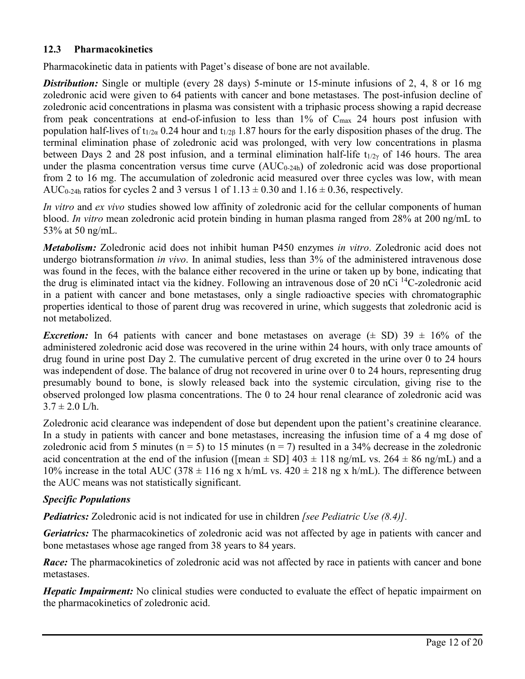## **12.3 Pharmacokinetics**

Pharmacokinetic data in patients with Paget's disease of bone are not available.

**Distribution:** Single or multiple (every 28 days) 5-minute or 15-minute infusions of 2, 4, 8 or 16 mg zoledronic acid were given to 64 patients with cancer and bone metastases. The post-infusion decline of zoledronic acid concentrations in plasma was consistent with a triphasic process showing a rapid decrease from peak concentrations at end-of-infusion to less than 1% of  $C_{\text{max}}$  24 hours post infusion with population half-lives of t<sub>1/2α</sub> 0.24 hour and t<sub>1/2β</sub> 1.87 hours for the early disposition phases of the drug. The terminal elimination phase of zoledronic acid was prolonged, with very low concentrations in plasma between Days 2 and 28 post infusion, and a terminal elimination half-life t<sub>1/2γ</sub> of 146 hours. The area under the plasma concentration versus time curve  $(AUC_{0-24h})$  of zoledronic acid was dose proportional from 2 to 16 mg. The accumulation of zoledronic acid measured over three cycles was low, with mean AUC<sub>0-24h</sub> ratios for cycles 2 and 3 versus 1 of  $1.13 \pm 0.30$  and  $1.16 \pm 0.36$ , respectively.

*In vitro* and *ex vivo* studies showed low affinity of zoledronic acid for the cellular components of human blood. *In vitro* mean zoledronic acid protein binding in human plasma ranged from 28% at 200 ng/mL to 53% at 50 ng/mL.

*Metabolism:* Zoledronic acid does not inhibit human P450 enzymes *in vitro*. Zoledronic acid does not undergo biotransformation *in vivo*. In animal studies, less than 3% of the administered intravenous dose was found in the feces, with the balance either recovered in the urine or taken up by bone, indicating that the drug is eliminated intact via the kidney. Following an intravenous dose of 20 nCi  $^{14}$ C-zoledronic acid in a patient with cancer and bone metastases, only a single radioactive species with chromatographic properties identical to those of parent drug was recovered in urine, which suggests that zoledronic acid is not metabolized.

*Excretion:* In 64 patients with cancer and bone metastases on average  $(\pm SD)$  39  $\pm 16\%$  of the administered zoledronic acid dose was recovered in the urine within 24 hours, with only trace amounts of drug found in urine post Day 2. The cumulative percent of drug excreted in the urine over 0 to 24 hours was independent of dose. The balance of drug not recovered in urine over 0 to 24 hours, representing drug presumably bound to bone, is slowly released back into the systemic circulation, giving rise to the observed prolonged low plasma concentrations. The 0 to 24 hour renal clearance of zoledronic acid was  $3.7 \pm 2.0$  L/h.

Zoledronic acid clearance was independent of dose but dependent upon the patient's creatinine clearance. In a study in patients with cancer and bone metastases, increasing the infusion time of a 4 mg dose of zoledronic acid from 5 minutes ( $n = 5$ ) to 15 minutes ( $n = 7$ ) resulted in a 34% decrease in the zoledronic acid concentration at the end of the infusion ([mean  $\pm$  SD] 403  $\pm$  118 ng/mL vs. 264  $\pm$  86 ng/mL) and a 10% increase in the total AUC (378  $\pm$  116 ng x h/mL vs. 420  $\pm$  218 ng x h/mL). The difference between the AUC means was not statistically significant.

## *Specific Populations*

*Pediatrics:* Zoledronic acid is not indicated for use in children *[see Pediatric Use (8.4)].*

*Geriatrics:* The pharmacokinetics of zoledronic acid was not affected by age in patients with cancer and bone metastases whose age ranged from 38 years to 84 years.

*Race:* The pharmacokinetics of zoledronic acid was not affected by race in patients with cancer and bone metastases.

*Hepatic Impairment:* No clinical studies were conducted to evaluate the effect of hepatic impairment on the pharmacokinetics of zoledronic acid.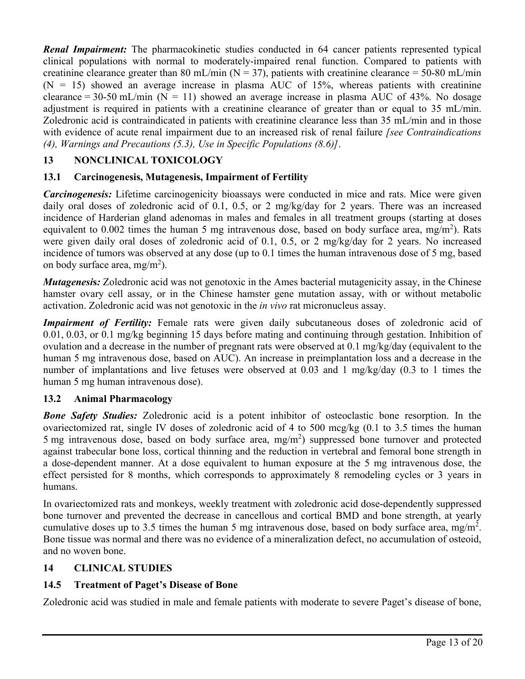*Renal Impairment:* The pharmacokinetic studies conducted in 64 cancer patients represented typical clinical populations with normal to moderately-impaired renal function. Compared to patients with creatinine clearance greater than 80 mL/min ( $N = 37$ ), patients with creatinine clearance = 50-80 mL/min  $(N = 15)$  showed an average increase in plasma AUC of 15%, whereas patients with creatinine clearance = 30-50 mL/min ( $N = 11$ ) showed an average increase in plasma AUC of 43%. No dosage adjustment is required in patients with a creatinine clearance of greater than or equal to 35 mL/min. Zoledronic acid is contraindicated in patients with creatinine clearance less than 35 mL/min and in those with evidence of acute renal impairment due to an increased risk of renal failure *[see Contraindications (4), Warnings and Precautions (5.3), Use in Specific Populations (8.6)]*.

# **13 NONCLINICAL TOXICOLOGY**

# **13.1 Carcinogenesis, Mutagenesis, Impairment of Fertility**

*Carcinogenesis:* Lifetime carcinogenicity bioassays were conducted in mice and rats. Mice were given daily oral doses of zoledronic acid of 0.1, 0.5, or 2 mg/kg/day for 2 years. There was an increased incidence of Harderian gland adenomas in males and females in all treatment groups (starting at doses equivalent to 0.002 times the human 5 mg intravenous dose, based on body surface area, mg/m<sup>2</sup>). Rats were given daily oral doses of zoledronic acid of 0.1, 0.5, or 2 mg/kg/day for 2 years. No increased incidence of tumors was observed at any dose (up to 0.1 times the human intravenous dose of 5 mg, based on body surface area,  $mg/m^2$ ).

*Mutagenesi***s***:* Zoledronic acid was not genotoxic in the Ames bacterial mutagenicity assay, in the Chinese hamster ovary cell assay, or in the Chinese hamster gene mutation assay, with or without metabolic activation. Zoledronic acid was not genotoxic in the *in vivo* rat micronucleus assay.

**Impairment of Fertility:** Female rats were given daily subcutaneous doses of zoledronic acid of 0.01, 0.03, or 0.1 mg/kg beginning 15 days before mating and continuing through gestation. Inhibition of ovulation and a decrease in the number of pregnant rats were observed at  $0.1 \text{ mg/kg}/\text{day}$  (equivalent to the human 5 mg intravenous dose, based on AUC). An increase in preimplantation loss and a decrease in the number of implantations and live fetuses were observed at 0.03 and 1 mg/kg/day (0.3 to 1 times the human 5 mg human intravenous dose).

## **13.2 Animal Pharmacology**

*Bone Safety Studies:* Zoledronic acid is a potent inhibitor of osteoclastic bone resorption. In the ovariectomized rat, single IV doses of zoledronic acid of 4 to 500 mcg/kg  $(0.1 \text{ to } 3.5 \text{ times the human})$ 5 mg intravenous dose, based on body surface area,  $mg/m<sup>2</sup>$ ) suppressed bone turnover and protected against trabecular bone loss, cortical thinning and the reduction in vertebral and femoral bone strength in a dose-dependent manner. At a dose equivalent to human exposure at the 5 mg intravenous dose, the effect persisted for 8 months, which corresponds to approximately 8 remodeling cycles or 3 years in humans.

In ovariectomized rats and monkeys, weekly treatment with zoledronic acid dose-dependently suppressed bone turnover and prevented the decrease in cancellous and cortical BMD and bone strength, at yearly cumulative doses up to 3.5 times the human 5 mg intravenous dose, based on body surface area, mg/m<sup>2</sup>. Bone tissue was normal and there was no evidence of a mineralization defect, no accumulation of osteoid, and no woven bone.

## **14 CLINICAL STUDIES**

# **14.5 Treatment of Paget's Disease of Bone**

Zoledronic acid was studied in male and female patients with moderate to severe Paget's disease of bone,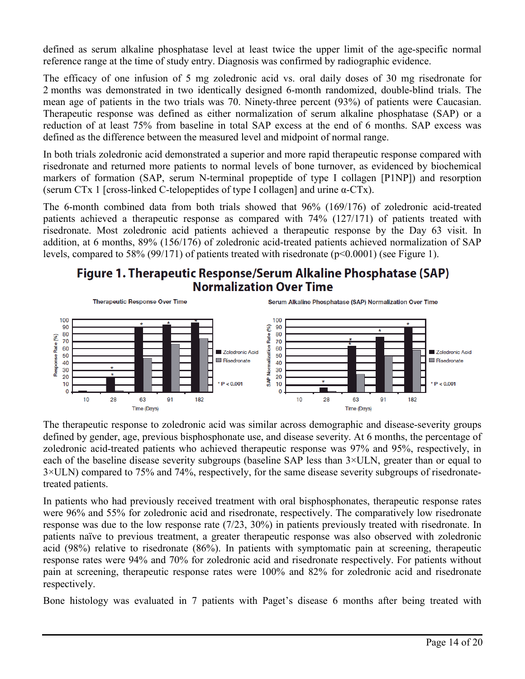defined as serum alkaline phosphatase level at least twice the upper limit of the age-specific normal reference range at the time of study entry. Diagnosis was confirmed by radiographic evidence.

The efficacy of one infusion of 5 mg zoledronic acid vs. oral daily doses of 30 mg risedronate for 2 months was demonstrated in two identically designed 6-month randomized, double-blind trials. The mean age of patients in the two trials was 70. Ninety-three percent (93%) of patients were Caucasian. Therapeutic response was defined as either normalization of serum alkaline phosphatase (SAP) or a reduction of at least 75% from baseline in total SAP excess at the end of 6 months. SAP excess was defined as the difference between the measured level and midpoint of normal range.

In both trials zoledronic acid demonstrated a superior and more rapid therapeutic response compared with risedronate and returned more patients to normal levels of bone turnover, as evidenced by biochemical markers of formation (SAP, serum N-terminal propeptide of type I collagen [P1NP]) and resorption (serum CTx 1 [cross-linked C-telopeptides of type I collagen] and urine  $\alpha$ -CTx).

The 6-month combined data from both trials showed that 96% (169/176) of zoledronic acid-treated patients achieved a therapeutic response as compared with 74% (127/171) of patients treated with risedronate. Most zoledronic acid patients achieved a therapeutic response by the Day 63 visit. In addition, at 6 months, 89% (156/176) of zoledronic acid-treated patients achieved normalization of SAP levels, compared to 58% (99/171) of patients treated with risedronate (p<0.0001) (see Figure 1).

# Figure 1. Therapeutic Response/Serum Alkaline Phosphatase (SAP) **Normalization Over Time**



The therapeutic response to zoledronic acid was similar across demographic and disease-severity groups defined by gender, age, previous bisphosphonate use, and disease severity. At 6 months, the percentage of zoledronic acid-treated patients who achieved therapeutic response was 97% and 95%, respectively, in each of the baseline disease severity subgroups (baseline SAP less than 3×ULN, greater than or equal to 3×ULN) compared to 75% and 74%, respectively, for the same disease severity subgroups of risedronatetreated patients.

In patients who had previously received treatment with oral bisphosphonates, therapeutic response rates were 96% and 55% for zoledronic acid and risedronate, respectively. The comparatively low risedronate response was due to the low response rate (7/23, 30%) in patients previously treated with risedronate. In patients naïve to previous treatment, a greater therapeutic response was also observed with zoledronic acid (98%) relative to risedronate (86%). In patients with symptomatic pain at screening, therapeutic response rates were 94% and 70% for zoledronic acid and risedronate respectively. For patients without pain at screening, therapeutic response rates were 100% and 82% for zoledronic acid and risedronate respectively.

Bone histology was evaluated in 7 patients with Paget's disease 6 months after being treated with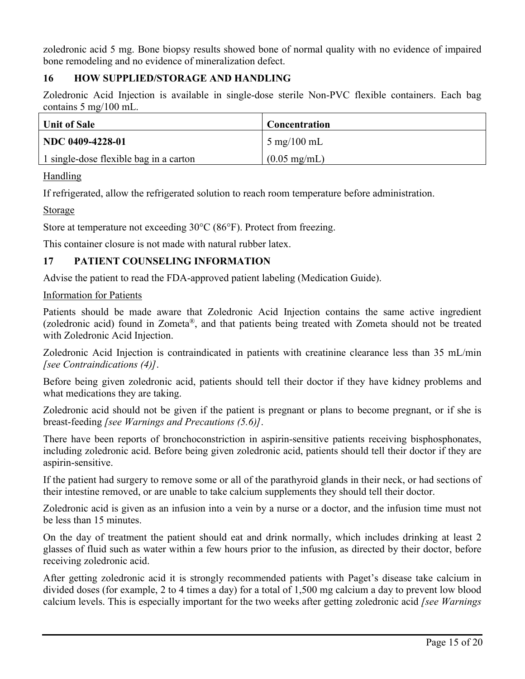zoledronic acid 5 mg. Bone biopsy results showed bone of normal quality with no evidence of impaired bone remodeling and no evidence of mineralization defect.

# **16 HOW SUPPLIED/STORAGE AND HANDLING**

Zoledronic Acid Injection is available in single-dose sterile Non-PVC flexible containers. Each bag contains 5 mg/100 mL.

| <b>Unit of Sale</b>                    | <b>Concentration</b>          |
|----------------------------------------|-------------------------------|
| NDC 0409-4228-01                       | $5 \text{ mg}/100 \text{ mL}$ |
| 1 single-dose flexible bag in a carton | $(0.05 \text{ mg/mL})$        |

## Handling

If refrigerated, allow the refrigerated solution to reach room temperature before administration.

## Storage

Store at temperature not exceeding 30°C (86°F). Protect from freezing.

This container closure is not made with natural rubber latex.

# **17 PATIENT COUNSELING INFORMATION**

Advise the patient to read the FDA-approved patient labeling (Medication Guide).

# Information for Patients

Patients should be made aware that Zoledronic Acid Injection contains the same active ingredient (zoledronic acid) found in Zometa®, and that patients being treated with Zometa should not be treated with Zoledronic Acid Injection.

Zoledronic Acid Injection is contraindicated in patients with creatinine clearance less than 35 mL/min *[see Contraindications (4)]*.

Before being given zoledronic acid, patients should tell their doctor if they have kidney problems and what medications they are taking.

Zoledronic acid should not be given if the patient is pregnant or plans to become pregnant, or if she is breast-feeding *[see Warnings and Precautions (5.6)]*.

There have been reports of bronchoconstriction in aspirin-sensitive patients receiving bisphosphonates, including zoledronic acid. Before being given zoledronic acid, patients should tell their doctor if they are aspirin-sensitive.

If the patient had surgery to remove some or all of the parathyroid glands in their neck, or had sections of their intestine removed, or are unable to take calcium supplements they should tell their doctor.

Zoledronic acid is given as an infusion into a vein by a nurse or a doctor, and the infusion time must not be less than 15 minutes.

On the day of treatment the patient should eat and drink normally, which includes drinking at least 2 glasses of fluid such as water within a few hours prior to the infusion, as directed by their doctor, before receiving zoledronic acid.

After getting zoledronic acid it is strongly recommended patients with Paget's disease take calcium in divided doses (for example, 2 to 4 times a day) for a total of 1,500 mg calcium a day to prevent low blood calcium levels. This is especially important for the two weeks after getting zoledronic acid *[see Warnings*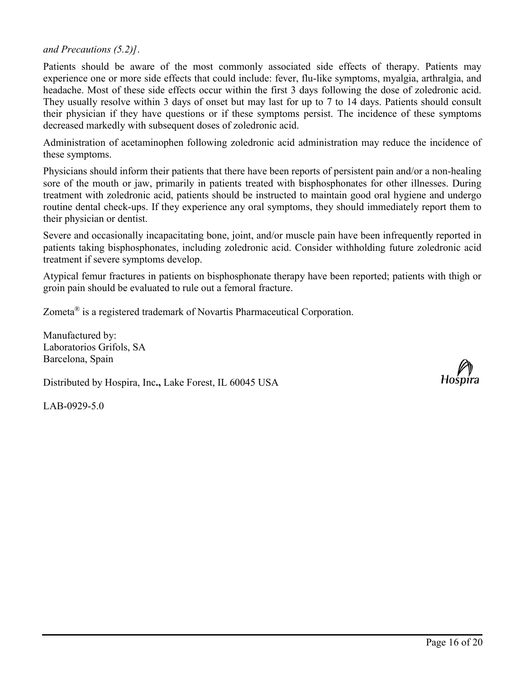*and Precautions (5.2)]*.

Patients should be aware of the most commonly associated side effects of therapy. Patients may experience one or more side effects that could include: fever, flu-like symptoms, myalgia, arthralgia, and headache. Most of these side effects occur within the first 3 days following the dose of zoledronic acid. They usually resolve within 3 days of onset but may last for up to 7 to 14 days. Patients should consult their physician if they have questions or if these symptoms persist. The incidence of these symptoms decreased markedly with subsequent doses of zoledronic acid.

Administration of acetaminophen following zoledronic acid administration may reduce the incidence of these symptoms.

Physicians should inform their patients that there have been reports of persistent pain and/or a non-healing sore of the mouth or jaw, primarily in patients treated with bisphosphonates for other illnesses. During treatment with zoledronic acid, patients should be instructed to maintain good oral hygiene and undergo routine dental check-ups. If they experience any oral symptoms, they should immediately report them to their physician or dentist.

Severe and occasionally incapacitating bone, joint, and/or muscle pain have been infrequently reported in patients taking bisphosphonates, including zoledronic acid. Consider withholding future zoledronic acid treatment if severe symptoms develop.

Atypical femur fractures in patients on bisphosphonate therapy have been reported; patients with thigh or groin pain should be evaluated to rule out a femoral fracture.

Zometa® is a registered trademark of Novartis Pharmaceutical Corporation.

Manufactured by: Laboratorios Grifols, SA Barcelona, Spain

Distributed by Hospira, Inc**.,** Lake Forest, IL 60045 USA

LAB-0929-5.0

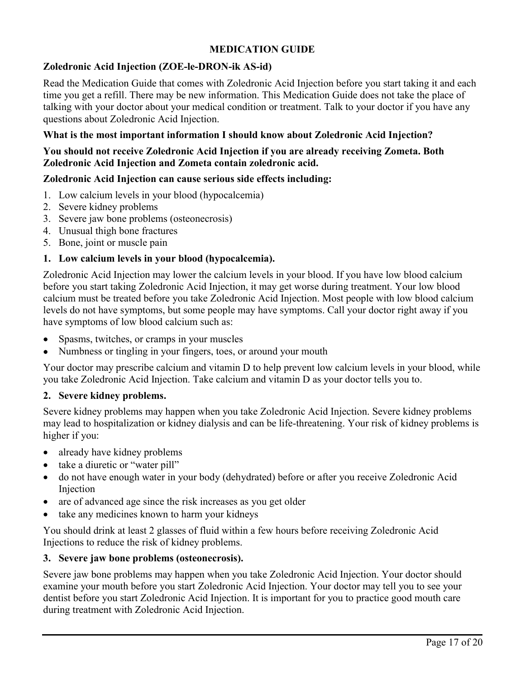# **MEDICATION GUIDE**

# **Zoledronic Acid Injection (ZOE-le-DRON-ik AS-id)**

Read the Medication Guide that comes with Zoledronic Acid Injection before you start taking it and each time you get a refill. There may be new information. This Medication Guide does not take the place of talking with your doctor about your medical condition or treatment. Talk to your doctor if you have any questions about Zoledronic Acid Injection.

# **What is the most important information I should know about Zoledronic Acid Injection?**

# **You should not receive Zoledronic Acid Injection if you are already receiving Zometa. Both Zoledronic Acid Injection and Zometa contain zoledronic acid.**

#### **Zoledronic Acid Injection can cause serious side effects including:**

- 1. Low calcium levels in your blood (hypocalcemia)
- 2. Severe kidney problems
- 3. Severe jaw bone problems (osteonecrosis)
- 4. Unusual thigh bone fractures
- 5. Bone, joint or muscle pain

## **1. Low calcium levels in your blood (hypocalcemia).**

Zoledronic Acid Injection may lower the calcium levels in your blood. If you have low blood calcium before you start taking Zoledronic Acid Injection, it may get worse during treatment. Your low blood calcium must be treated before you take Zoledronic Acid Injection. Most people with low blood calcium levels do not have symptoms, but some people may have symptoms. Call your doctor right away if you have symptoms of low blood calcium such as:

- Spasms, twitches, or cramps in your muscles
- Numbness or tingling in your fingers, toes, or around your mouth

Your doctor may prescribe calcium and vitamin D to help prevent low calcium levels in your blood, while you take Zoledronic Acid Injection. Take calcium and vitamin D as your doctor tells you to.

## **2. Severe kidney problems.**

Severe kidney problems may happen when you take Zoledronic Acid Injection. Severe kidney problems may lead to hospitalization or kidney dialysis and can be life-threatening. Your risk of kidney problems is higher if you:

- already have kidney problems
- take a diuretic or "water pill"
- do not have enough water in your body (dehydrated) before or after you receive Zoledronic Acid Injection
- are of advanced age since the risk increases as you get older
- take any medicines known to harm your kidneys

You should drink at least 2 glasses of fluid within a few hours before receiving Zoledronic Acid Injections to reduce the risk of kidney problems.

#### **3. Severe jaw bone problems (osteonecrosis).**

Severe jaw bone problems may happen when you take Zoledronic Acid Injection. Your doctor should examine your mouth before you start Zoledronic Acid Injection. Your doctor may tell you to see your dentist before you start Zoledronic Acid Injection. It is important for you to practice good mouth care during treatment with Zoledronic Acid Injection.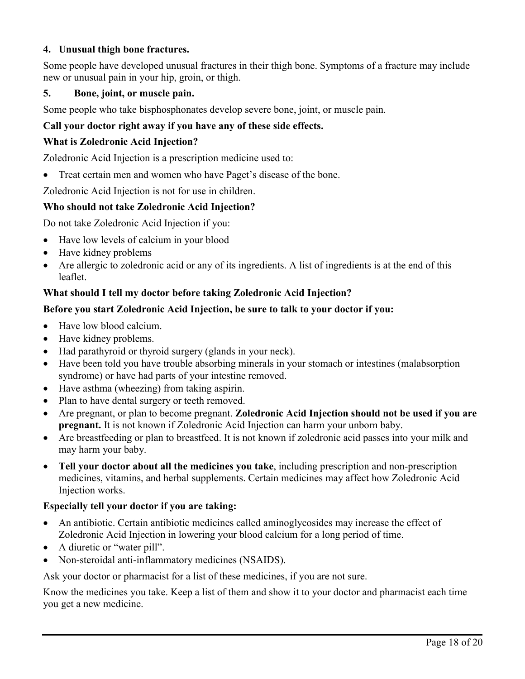# **4. Unusual thigh bone fractures.**

Some people have developed unusual fractures in their thigh bone. Symptoms of a fracture may include new or unusual pain in your hip, groin, or thigh.

## **5. Bone, joint, or muscle pain.**

Some people who take bisphosphonates develop severe bone, joint, or muscle pain.

# **Call your doctor right away if you have any of these side effects.**

### **What is Zoledronic Acid Injection?**

Zoledronic Acid Injection is a prescription medicine used to:

Treat certain men and women who have Paget's disease of the bone.

Zoledronic Acid Injection is not for use in children.

#### **Who should not take Zoledronic Acid Injection?**

Do not take Zoledronic Acid Injection if you:

- Have low levels of calcium in your blood
- Have kidney problems
- Are allergic to zoledronic acid or any of its ingredients. A list of ingredients is at the end of this leaflet.

## **What should I tell my doctor before taking Zoledronic Acid Injection?**

#### **Before you start Zoledronic Acid Injection, be sure to talk to your doctor if you:**

- Have low blood calcium.
- Have kidney problems.
- Had parathyroid or thyroid surgery (glands in your neck).
- Have been told you have trouble absorbing minerals in your stomach or intestines (malabsorption syndrome) or have had parts of your intestine removed.
- Have asthma (wheezing) from taking aspirin.
- Plan to have dental surgery or teeth removed.
- Are pregnant, or plan to become pregnant. **Zoledronic Acid Injection should not be used if you are pregnant.** It is not known if Zoledronic Acid Injection can harm your unborn baby.
- Are breastfeeding or plan to breastfeed. It is not known if zoledronic acid passes into your milk and may harm your baby.
- **Tell your doctor about all the medicines you take**, including prescription and non-prescription medicines, vitamins, and herbal supplements. Certain medicines may affect how Zoledronic Acid Injection works.

## **Especially tell your doctor if you are taking:**

- An antibiotic. Certain antibiotic medicines called aminoglycosides may increase the effect of Zoledronic Acid Injection in lowering your blood calcium for a long period of time.
- A diuretic or "water pill".
- Non-steroidal anti-inflammatory medicines (NSAIDS).

Ask your doctor or pharmacist for a list of these medicines, if you are not sure.

Know the medicines you take. Keep a list of them and show it to your doctor and pharmacist each time you get a new medicine.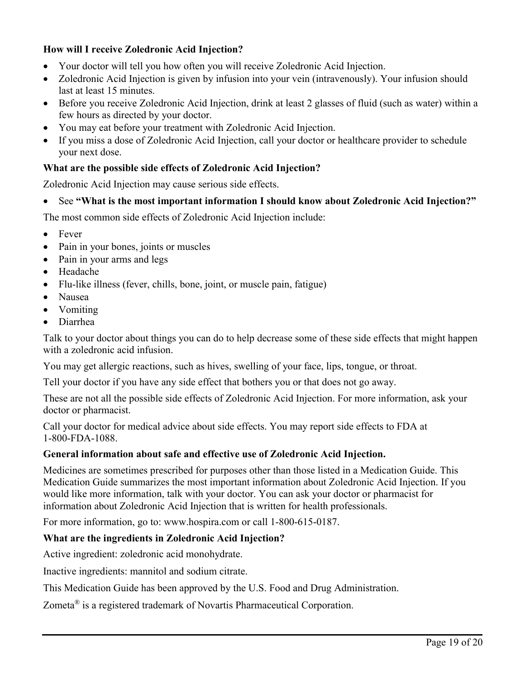# **How will I receive Zoledronic Acid Injection?**

- Your doctor will tell you how often you will receive Zoledronic Acid Injection.
- Zoledronic Acid Injection is given by infusion into your vein (intravenously). Your infusion should last at least 15 minutes.
- Before you receive Zoledronic Acid Injection, drink at least 2 glasses of fluid (such as water) within a few hours as directed by your doctor.
- You may eat before your treatment with Zoledronic Acid Injection.
- If you miss a dose of Zoledronic Acid Injection, call your doctor or healthcare provider to schedule your next dose.

## **What are the possible side effects of Zoledronic Acid Injection?**

Zoledronic Acid Injection may cause serious side effects.

See **"What is the most important information I should know about Zoledronic Acid Injection?"**

The most common side effects of Zoledronic Acid Injection include:

- Fever
- Pain in your bones, joints or muscles
- Pain in your arms and legs
- Headache
- Flu-like illness (fever, chills, bone, joint, or muscle pain, fatigue)
- Nausea
- Vomiting
- Diarrhea

Talk to your doctor about things you can do to help decrease some of these side effects that might happen with a zoledronic acid infusion.

You may get allergic reactions, such as hives, swelling of your face, lips, tongue, or throat.

Tell your doctor if you have any side effect that bothers you or that does not go away.

These are not all the possible side effects of Zoledronic Acid Injection. For more information, ask your doctor or pharmacist.

Call your doctor for medical advice about side effects. You may report side effects to FDA at 1-800-FDA-1088.

## **General information about safe and effective use of Zoledronic Acid Injection.**

Medicines are sometimes prescribed for purposes other than those listed in a Medication Guide. This Medication Guide summarizes the most important information about Zoledronic Acid Injection. If you would like more information, talk with your doctor. You can ask your doctor or pharmacist for information about Zoledronic Acid Injection that is written for health professionals.

For more information, go to: www.hospira.com or call 1-800-615-0187.

## **What are the ingredients in Zoledronic Acid Injection?**

Active ingredient: zoledronic acid monohydrate.

Inactive ingredients: mannitol and sodium citrate.

This Medication Guide has been approved by the U.S. Food and Drug Administration.

Zometa® is a registered trademark of Novartis Pharmaceutical Corporation.